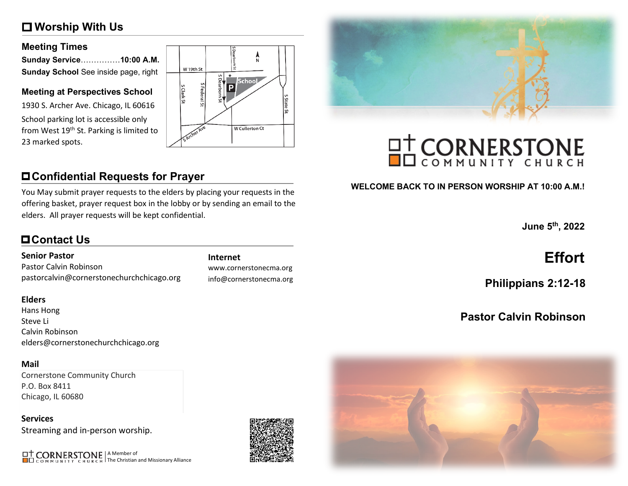# **Worship With Us**

### **Meeting Times**

| Sunday Service……………10:00 A.M.        |  |
|--------------------------------------|--|
| Sunday School See inside page, right |  |

### **Meeting at Perspectives School**

1930 S. Archer Ave. Chicago, IL 60616 School parking lot is accessible only from West 19<sup>th</sup> St. Parking is limited to 23 marked spots.



# **Confidential Requests for Prayer**

You May submit prayer requests to the elders by placing your requests in the offering basket, prayer request box in the lobby or by sending an email to the elders. All prayer requests will be kept confidential.

# **Contact Us**

### **Senior Pastor**

Pastor Calvin Robinson pastorcalvin@cornerstonechurchchicago.org

### **Elders**

Hans Hong Steve Li Calvin Robinson elders@cornerstonechurchchicago.org

### **Mail**

Cornerstone Community Church P.O. Box 8411 Chicago, IL 60680

**Services** Streaming and in-person worship.

A Member of The Christian and Missionary Alliance



www.cornerstonecma.org info@cornerstonecma.org



# **OT CORNERSTONE**

### **WELCOME BACK TO IN PERSON WORSHIP AT 10:00 A.M.!**

**June 5th, 2022**

# **Internet Effort**

**Philippians 2:12-18**

# **Pastor Calvin Robinson**